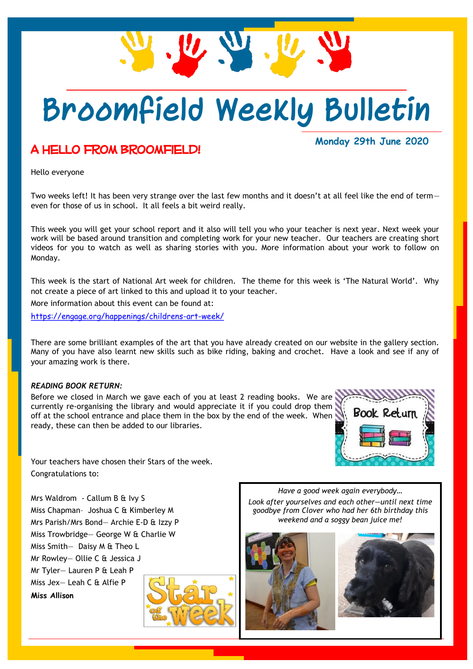

## **Broomfield Weekly Bulletin**

## A hello from Broomfield!

### **Monday 29th June 2020**

Hello everyone

Two weeks left! It has been very strange over the last few months and it doesn't at all feel like the end of term even for those of us in school. It all feels a bit weird really.

This week you will get your school report and it also will tell you who your teacher is next year. Next week your work will be based around transition and completing work for your new teacher. Our teachers are creating short videos for you to watch as well as sharing stories with you. More information about your work to follow on Monday.

This week is the start of National Art week for children. The theme for this week is 'The Natural World'. Why not create a piece of art linked to this and upload it to your teacher.

More information about this event can be found at:

<https://engage.org/happenings/childrens-art-week/>

There are some brilliant examples of the art that you have already created on our website in the gallery section. Many of you have also learnt new skills such as bike riding, baking and crochet. Have a look and see if any of your amazing work is there.

#### *READING BOOK RETURN:*

Before we closed in March we gave each of you at least 2 reading books. We are currently re-organising the library and would appreciate it if you could drop them off at the school entrance and place them in the box by the end of the week. When ready, these can then be added to our libraries.



Your teachers have chosen their Stars of the week. Congratulations to:

Mrs Waldrom - Callum B & Ivy S Miss Chapman– Joshua C & Kimberley M Mrs Parish/Mrs Bond— Archie E-D & Izzy P Miss Trowbridge— George W & Charlie W Miss Smith— Daisy M & Theo L Mr Rowley— Ollie C & Jessica J Mr Tyler— Lauren P & Leah P Miss Jex— Leah C & Alfie P **Miss Allison**



*Have a good week again everybody… Look after yourselves and each other—until next time* 

*goodbye from Clover who had her 6th birthday this weekend and a soggy bean juice me!*